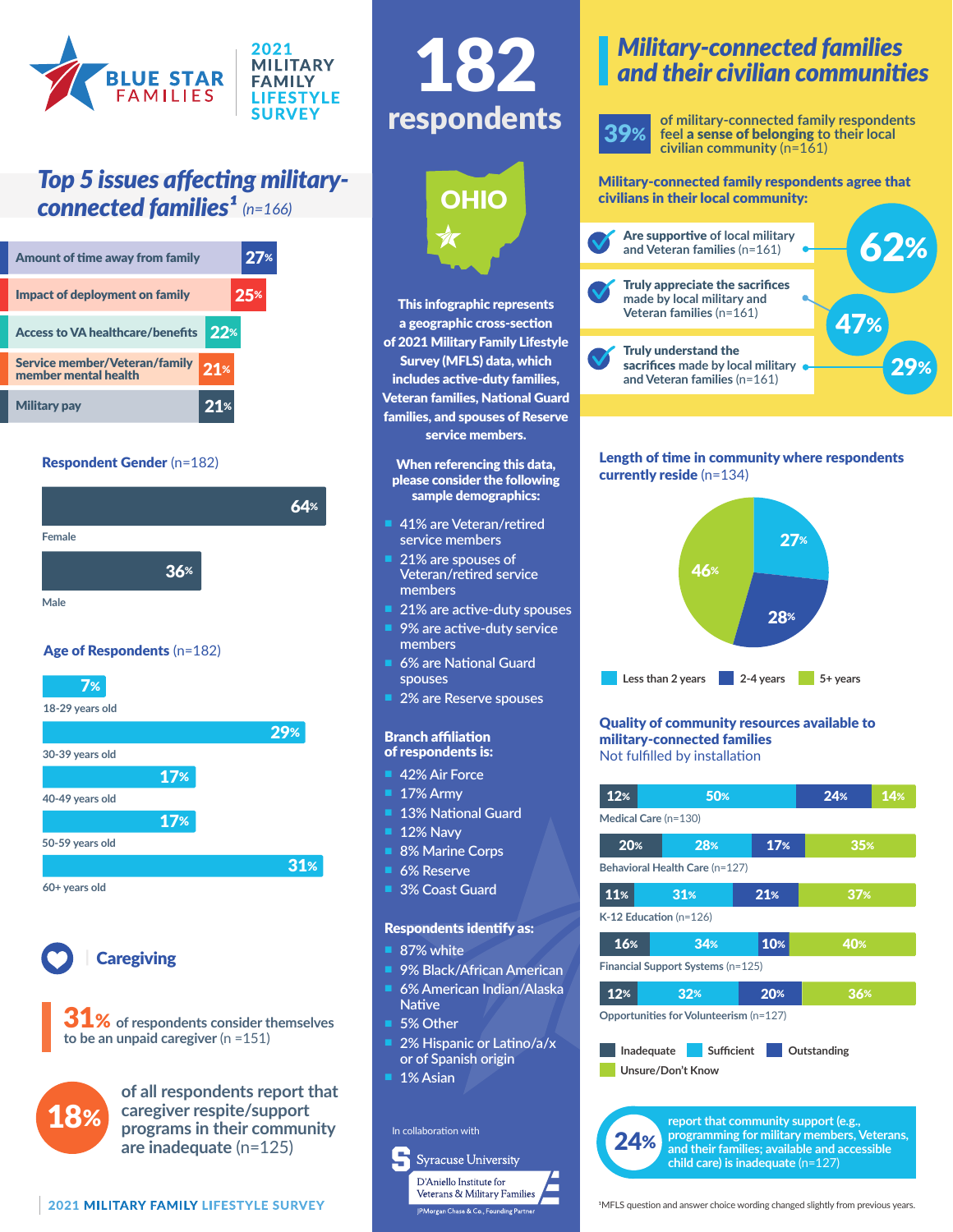

# *Top 5 issues affecting military***connected families<sup>1</sup>** (n=166)

| Amount of time away from family                       |                 | 27% |
|-------------------------------------------------------|-----------------|-----|
| Impact of deployment on family                        |                 | 25% |
| <b>Access to VA healthcare/benefits</b>               | $22*$           |     |
| Service member/Veteran/family<br>member mental health | 21%             |     |
| <b>Military pay</b>                                   | 21 <sup>%</sup> |     |

#### Respondent Gender (n=182)



## Age of Respondents (n=182)





**Caregiving** 

**1%** of respondents consider themselves **to be an unpaid caregiver** (n =151)



**of all respondents report that caregiver respite/support programs in their community are inadequate** (n=125)





This infographic represents a geographic cross-section of 2021 Military Family Lifestyle Survey (MFLS) data, which includes active-duty families, Veteran families, National Guard families, and spouses of Reserve service members.

#### When referencing this data, please consider the following sample demographics:

- n **41% are Veteran/retired service members**
- n **21% are spouses of Veteran/retired service members**
- 21% are active-duty spouses
- n **9% are active-duty service members**
- n **6% are National Guard spouses**
- **2% are Reserve spouses**

#### Branch affiliation of respondents is:

- **42% Air Force**
- n **17% Army**
- **13% National Guard**
- **12% Navy**
- **8% Marine Corps**
- **6% Reserve**
- **3% Coast Guard**

#### Respondents identify as:

- **87% white**
- n **9% Black/African American**
- n **6% American Indian/Alaska Native**
- 5% Other
- 2% Hispanic or Latino/a/x **or of Spanish origin**
- n **1% Asian**

## In collaboration with





**of military-connected family respondents feel** a sense of belonging **to their local civilian community** (n=161)

Military-connected family respondents agree that civilians in their local community:



#### Length of time in community where respondents currently reside (n=134)



#### Quality of community resources available to military-connected families Not fulfilled by installation

| 12%                                                                                                                                 | 50% |     | 24% | 14% |  |  |
|-------------------------------------------------------------------------------------------------------------------------------------|-----|-----|-----|-----|--|--|
| Medical Care (n=130)                                                                                                                |     |     |     |     |  |  |
| 20%                                                                                                                                 | 28% | 17% | 35% |     |  |  |
| Behavioral Health Care (n=127)                                                                                                      |     |     |     |     |  |  |
| 11%                                                                                                                                 | 31% | 21% | 37% |     |  |  |
| $K-12$ Education (n=126)                                                                                                            |     |     |     |     |  |  |
| 16%                                                                                                                                 | 34% | 10% | 40% |     |  |  |
| Financial Support Systems (n=125)                                                                                                   |     |     |     |     |  |  |
| 12%                                                                                                                                 | 32% | 20% | 36% |     |  |  |
| Opportunities for Volunteerism (n=127)                                                                                              |     |     |     |     |  |  |
| <b>Sufficient</b><br>Inadequate<br>Outstanding<br>Unsure/Don't Know                                                                 |     |     |     |     |  |  |
|                                                                                                                                     |     |     |     |     |  |  |
|                                                                                                                                     |     |     |     |     |  |  |
| report that community support (e.g.,<br>programming for military members, Veterans,<br>and their families; available and accessible |     |     |     |     |  |  |

**and their families; available and accessible child care) is inadequate** (n=127)